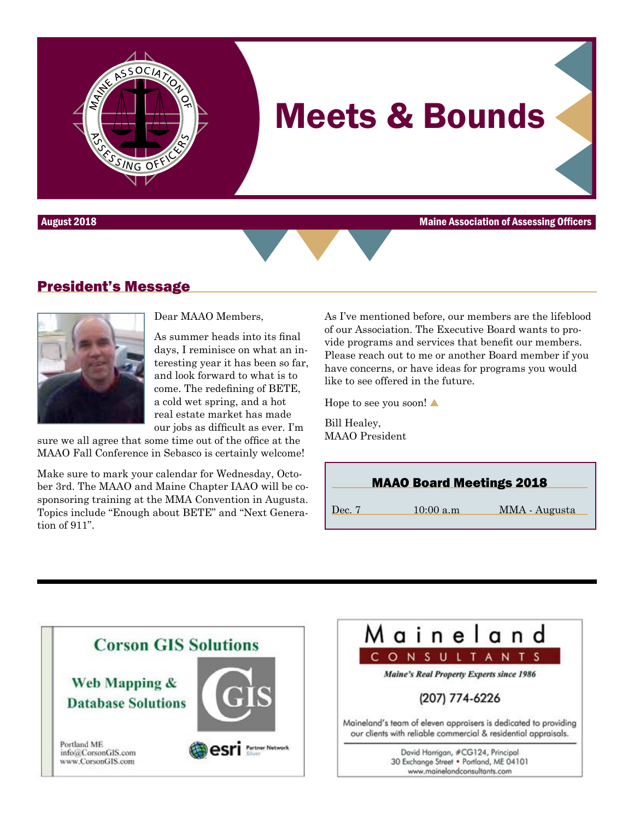

August 2018 Maine Association of Assessing Officers

## President's Message



Dear MAAO Members,

As summer heads into its final days, I reminisce on what an interesting year it has been so far, and look forward to what is to come. The redefining of BETE, a cold wet spring, and a hot real estate market has made our jobs as difficult as ever. I'm

sure we all agree that some time out of the office at the MAAO Fall Conference in Sebasco is certainly welcome!

Make sure to mark your calendar for Wednesday, October 3rd. The MAAO and Maine Chapter IAAO will be cosponsoring training at the MMA Convention in Augusta. Topics include "Enough about BETE" and "Next Generation of 911".

As I've mentioned before, our members are the lifeblood of our Association. The Executive Board wants to provide programs and services that benefit our members. Please reach out to me or another Board member if you have concerns, or have ideas for programs you would like to see offered in the future.

Hope to see you soon! $\blacktriangle$ 

Bill Healey, MAAO President



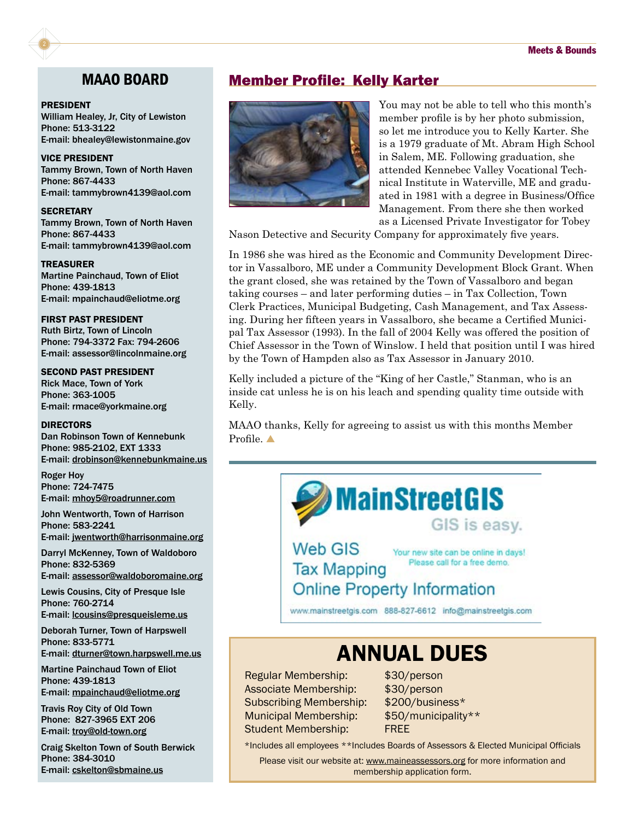#### PRESIDENT

William Healey, Jr, City of Lewiston Phone: 513-3122 E-mail: bhealey@lewistonmaine.gov

VICE PRESIDENT Tammy Brown, Town of North Haven Phone: 867-4433 E-mail: tammybrown4139@aol.com

**SECRETARY** Tammy Brown, Town of North Haven Phone: 867-4433 E-mail: tammybrown4139@aol.com

TREASURER Martine Painchaud, Town of Eliot Phone: 439-1813 E-mail: mpainchaud@eliotme.org

FIRST PAST PRESIDENT Ruth Birtz, Town of Lincoln Phone: 794-3372 Fax: 794-2606 E-mail: assessor@lincolnmaine.org

#### SECOND PAST PRESIDENT

Rick Mace, Town of York Phone: 363-1005 E-mail: rmace@yorkmaine.org

#### DIRECTORS

Dan Robinson Town of Kennebunk Phone: 985-2102, EXT 1333 E-mail: drobinson@kennebunkmaine.us

Roger Hoy Phone: 724-7475 E-mail: mhoy5@roadrunner.com

John Wentworth, Town of Harrison Phone: 583-2241

E-mail: jwentworth@harrisonmaine.org

Darryl McKenney, Town of Waldoboro Phone: 832-5369 E-mail: assessor@waldoboromaine.org

Lewis Cousins, City of Presque Isle Phone: 760-2714

E-mail: lcousins@presqueisleme.us

Deborah Turner, Town of Harpswell Phone: 833-5771 E-mail: dturner@town.harpswell.me.us

Martine Painchaud Town of Eliot Phone: 439-1813 E-mail: mpainchaud@eliotme.org

Travis Roy City of Old Town Phone: 827-3965 EXT 206 E-mail: troy@old-town.org

Craig Skelton Town of South Berwick Phone: 384-3010 E-mail: cskelton@sbmaine.us

#### MAAO BOARD Member Profile: Kelly Karter



You may not be able to tell who this month's member profile is by her photo submission, so let me introduce you to Kelly Karter. She is a 1979 graduate of Mt. Abram High School in Salem, ME. Following graduation, she attended Kennebec Valley Vocational Technical Institute in Waterville, ME and graduated in 1981 with a degree in Business/Office Management. From there she then worked as a Licensed Private Investigator for Tobey

Nason Detective and Security Company for approximately five years.

In 1986 she was hired as the Economic and Community Development Director in Vassalboro, ME under a Community Development Block Grant. When the grant closed, she was retained by the Town of Vassalboro and began taking courses – and later performing duties – in Tax Collection, Town Clerk Practices, Municipal Budgeting, Cash Management, and Tax Assessing. During her fifteen years in Vassalboro, she became a Certified Municipal Tax Assessor (1993). In the fall of 2004 Kelly was offered the position of Chief Assessor in the Town of Winslow. I held that position until I was hired by the Town of Hampden also as Tax Assessor in January 2010.

Kelly included a picture of the "King of her Castle," Stanman, who is an inside cat unless he is on his leach and spending quality time outside with Kelly.

MAAO thanks, Kelly for agreeing to assist us with this months Member Profile. A

Web GIS

**Tax Mapping** 

Your new site can be online in days! Please call for a free demo.

GIS is easy.

#### **Online Property Information**

www.mainstreetgis.com 888-827-6612 info@mainstreetgis.com

**MainStreetGIS** 

### ANNUAL DUES

Regular Membership: \$30/person Associate Membership: \$30/person Subscribing Membership: \$200/business\* Municipal Membership: \$50/municipality\*\* Student Membership: FREE

\*Includes all employees \*\*Includes Boards of Assessors & Elected Municipal Officials

Please visit our website at: <www.maineassessors.org>for more information and membership application form.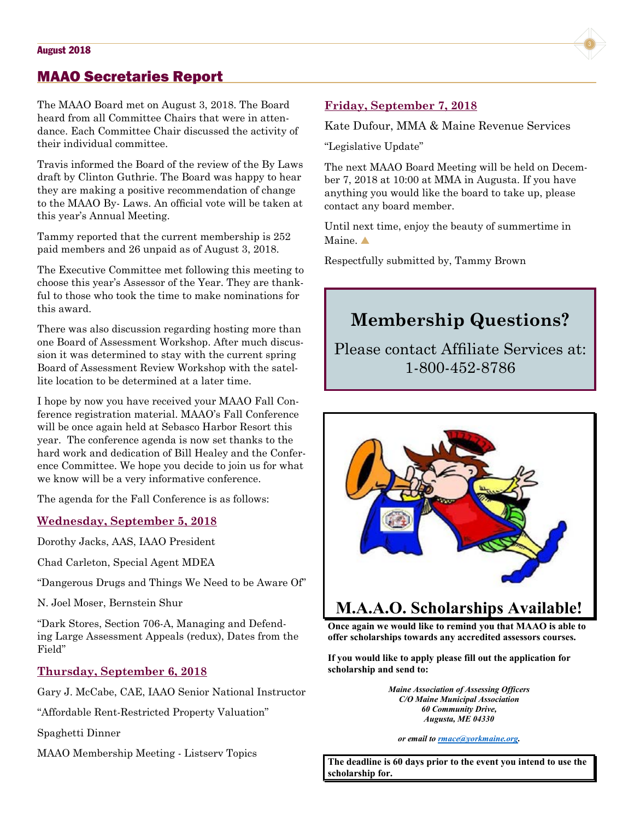#### MAAO Secretaries Report

The MAAO Board met on August 3, 2018. The Board heard from all Committee Chairs that were in attendance. Each Committee Chair discussed the activity of their individual committee.

Travis informed the Board of the review of the By Laws draft by Clinton Guthrie. The Board was happy to hear they are making a positive recommendation of change to the MAAO By- Laws. An official vote will be taken at this year's Annual Meeting.

Tammy reported that the current membership is 252 paid members and 26 unpaid as of August 3, 2018.

The Executive Committee met following this meeting to choose this year's Assessor of the Year. They are thankful to those who took the time to make nominations for this award.

There was also discussion regarding hosting more than one Board of Assessment Workshop. After much discussion it was determined to stay with the current spring Board of Assessment Review Workshop with the satellite location to be determined at a later time.

I hope by now you have received your MAAO Fall Conference registration material. MAAO's Fall Conference will be once again held at Sebasco Harbor Resort this year. The conference agenda is now set thanks to the hard work and dedication of Bill Healey and the Conference Committee. We hope you decide to join us for what we know will be a very informative conference.

The agenda for the Fall Conference is as follows:

#### **Wednesday, September 5, 2018**

Dorothy Jacks, AAS, IAAO President

Chad Carleton, Special Agent MDEA

"Dangerous Drugs and Things We Need to be Aware Of"

N. Joel Moser, Bernstein Shur

"Dark Stores, Section 706-A, Managing and Defending Large Assessment Appeals (redux), Dates from the Field"

#### **Thursday, September 6, 2018**

Gary J. McCabe, CAE, IAAO Senior National Instructor

"Affordable Rent-Restricted Property Valuation"

Spaghetti Dinner

MAAO Membership Meeting - Listserv Topics

#### **Friday, September 7, 2018**

Kate Dufour, MMA & Maine Revenue Services

"Legislative Update"

The next MAAO Board Meeting will be held on December 7, 2018 at 10:00 at MMA in Augusta. If you have anything you would like the board to take up, please contact any board member.

Until next time, enjoy the beauty of summertime in Maine.

Respectfully submitted by, Tammy Brown

### **Membership Questions?**

Please contact Affiliate Services at: 1-800-452-8786



#### **M.A.A.O. Scholarships Available!**

**Once again we would like to remind you that MAAO is able to offer scholarships towards any accredited assessors courses.**

**If you would like to apply please fill out the application for scholarship and send to:**

> *Maine Association of Assessing Officers C/O Maine Municipal Association 60 Community Drive, Augusta, ME 04330*

*or email to rmace@yorkmaine.org.*

**The deadline is 60 days prior to the event you intend to use the scholarship for.**

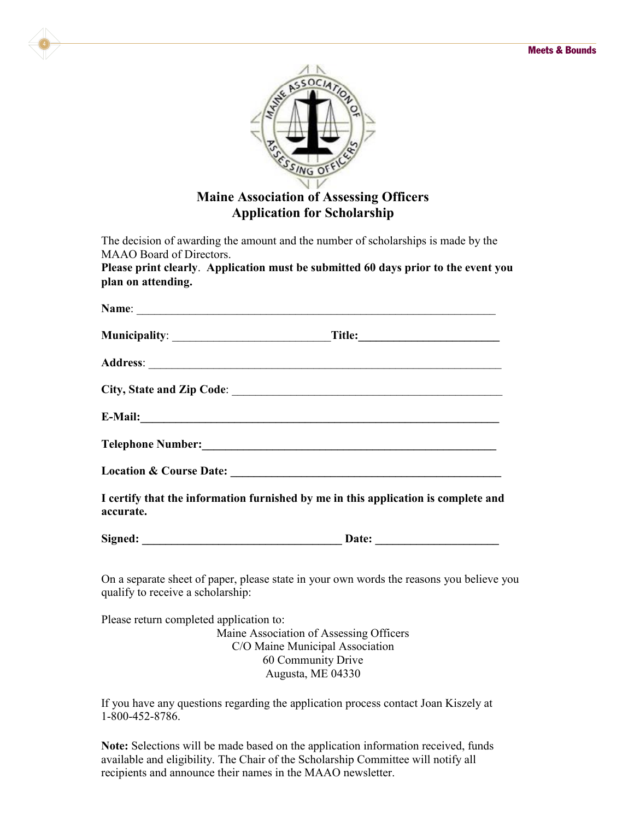

The decision of awarding the amount and the number of scholarships is made by the MAAO Board of Directors.

**Please print clearly**. **Application must be submitted 60 days prior to the event you plan on attending.**

|                                         | Name:                                                                                                                                                                                                                          |
|-----------------------------------------|--------------------------------------------------------------------------------------------------------------------------------------------------------------------------------------------------------------------------------|
|                                         |                                                                                                                                                                                                                                |
|                                         |                                                                                                                                                                                                                                |
|                                         |                                                                                                                                                                                                                                |
|                                         | E-Mail: 2008. 2008. 2010. 2010. 2010. 2010. 2010. 2010. 2010. 2010. 2010. 2010. 2010. 2010. 2010. 2010. 2010. 2010. 2010. 2010. 2010. 2010. 2010. 2010. 2010. 2010. 2010. 2010. 2010. 2010. 2010. 2010. 2010. 2010. 2010. 2010 |
|                                         |                                                                                                                                                                                                                                |
|                                         |                                                                                                                                                                                                                                |
| accurate.                               | I certify that the information furnished by me in this application is complete and                                                                                                                                             |
|                                         | Signed: Date: Date:                                                                                                                                                                                                            |
| qualify to receive a scholarship:       | On a separate sheet of paper, please state in your own words the reasons you believe you                                                                                                                                       |
| Please return completed application to: |                                                                                                                                                                                                                                |
|                                         | Maine Association of Assessing Officers                                                                                                                                                                                        |
|                                         | C/O Maine Municipal Association                                                                                                                                                                                                |
|                                         | 60 Community Drive<br>Augusta, ME 04330                                                                                                                                                                                        |
|                                         |                                                                                                                                                                                                                                |

If you have any questions regarding the application process contact Joan Kiszely at 1-800-452-8786.

**Note:** Selections will be made based on the application information received, funds available and eligibility. The Chair of the Scholarship Committee will notify all recipients and announce their names in the MAAO newsletter.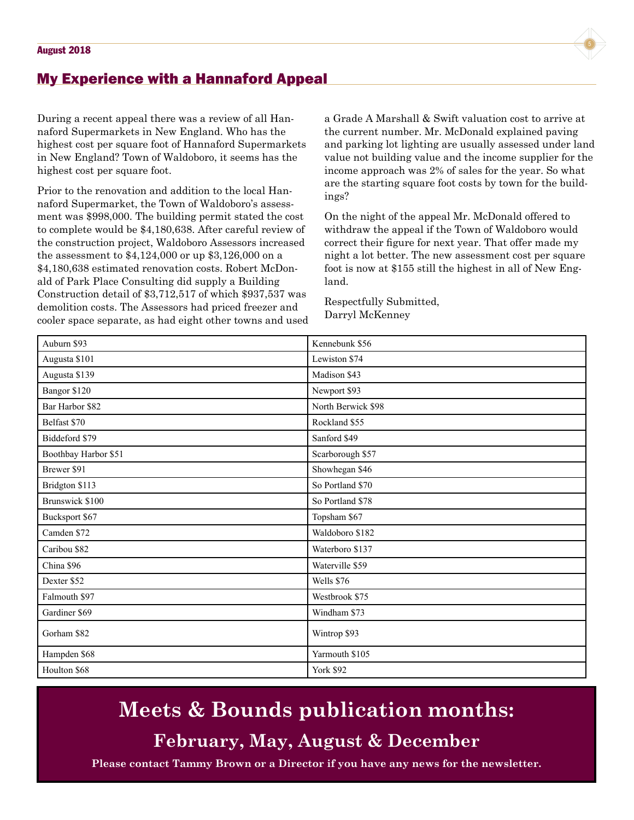

#### My Experience with a Hannaford Appeal

During a recent appeal there was a review of all Hannaford Supermarkets in New England. Who has the highest cost per square foot of Hannaford Supermarkets in New England? Town of Waldoboro, it seems has the highest cost per square foot.

Prior to the renovation and addition to the local Hannaford Supermarket, the Town of Waldoboro's assessment was \$998,000. The building permit stated the cost to complete would be \$4,180,638. After careful review of the construction project, Waldoboro Assessors increased the assessment to \$4,124,000 or up \$3,126,000 on a \$4,180,638 estimated renovation costs. Robert McDonald of Park Place Consulting did supply a Building Construction detail of \$3,712,517 of which \$937,537 was demolition costs. The Assessors had priced freezer and cooler space separate, as had eight other towns and used a Grade A Marshall & Swift valuation cost to arrive at the current number. Mr. McDonald explained paving and parking lot lighting are usually assessed under land value not building value and the income supplier for the income approach was 2% of sales for the year. So what are the starting square foot costs by town for the buildings?

On the night of the appeal Mr. McDonald offered to withdraw the appeal if the Town of Waldoboro would correct their figure for next year. That offer made my night a lot better. The new assessment cost per square foot is now at \$155 still the highest in all of New England.

Respectfully Submitted, Darryl McKenney

| Auburn \$93          | Kennebunk \$56     |  |  |
|----------------------|--------------------|--|--|
| Augusta \$101        | Lewiston \$74      |  |  |
| Augusta \$139        | Madison \$43       |  |  |
| Bangor \$120         | Newport \$93       |  |  |
| Bar Harbor \$82      | North Berwick \$98 |  |  |
| Belfast \$70         | Rockland \$55      |  |  |
| Biddeford \$79       | Sanford \$49       |  |  |
| Boothbay Harbor \$51 | Scarborough \$57   |  |  |
| Brewer \$91          | Showhegan \$46     |  |  |
| Bridgton \$113       | So Portland \$70   |  |  |
| Brunswick \$100      | So Portland \$78   |  |  |
| Bucksport \$67       | Topsham \$67       |  |  |
| Camden \$72          | Waldoboro \$182    |  |  |
| Caribou \$82         | Waterboro \$137    |  |  |
| China \$96           | Waterville \$59    |  |  |
| Dexter \$52          | Wells \$76         |  |  |
| Falmouth \$97        | Westbrook \$75     |  |  |
| Gardiner \$69        | Windham \$73       |  |  |
| Gorham \$82          | Wintrop \$93       |  |  |
| Hampden \$68         | Yarmouth \$105     |  |  |
| Houlton \$68         | <b>York \$92</b>   |  |  |

### **Meets & Bounds publication months:**

**February, May, August & December**

**Please contact Tammy Brown or a Director if you have any news for the newsletter.**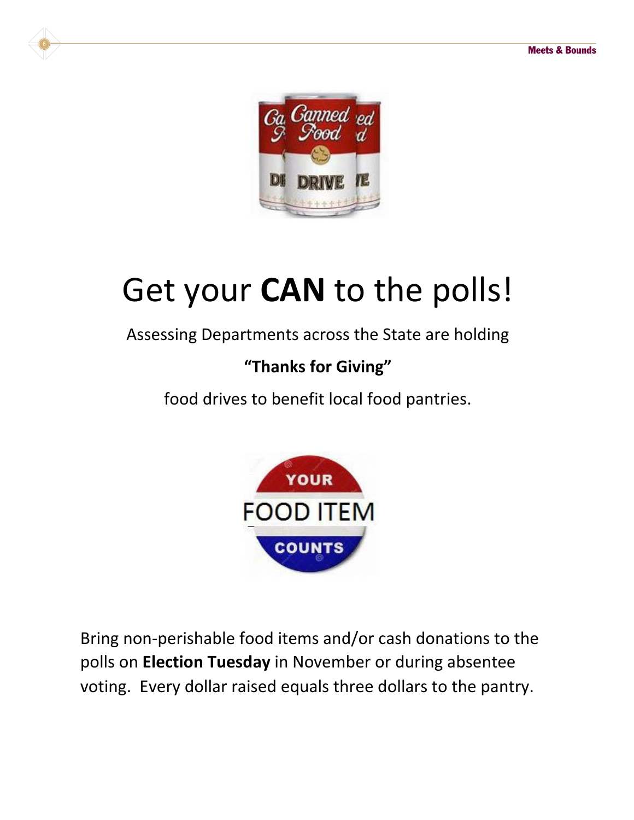

# Get your **CAN** to the polls!

### Assessing Departments across the State are holding

### **"Thanks for Giving"**

food drives to benefit local food pantries.



Bring non-perishable food items and/or cash donations to the polls on **Election Tuesday** in November or during absentee voting. Every dollar raised equals three dollars to the pantry.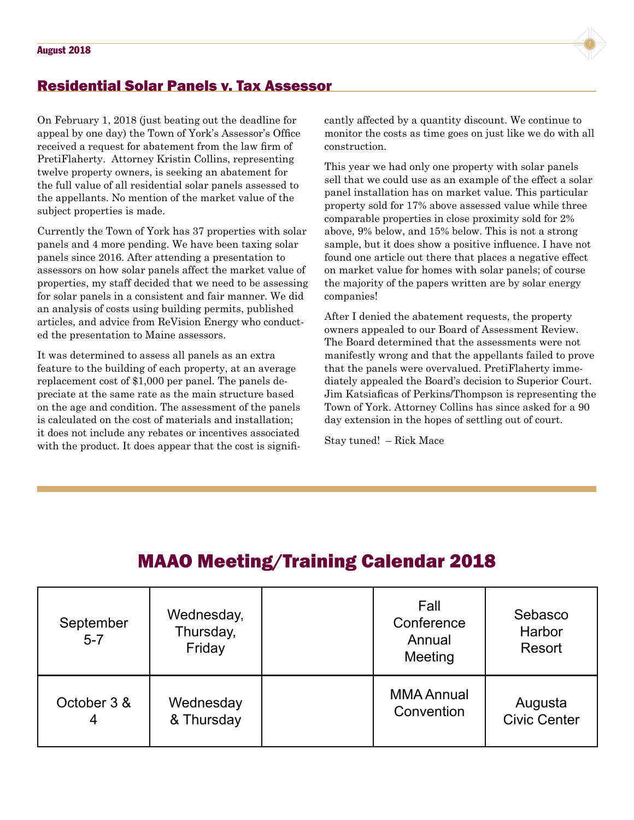

#### Residential Solar Panels v. Tax Assessor

On February 1, 2018 (just beating out the deadline for appeal by one day) the Town of York's Assessor's Office received a request for abatement from the law firm of PretiFlaherty. Attorney Kristin Collins, representing twelve property owners, is seeking an abatement for the full value of all residential solar panels assessed to the appellants. No mention of the market value of the subject properties is made.

Currently the Town of York has 37 properties with solar panels and 4 more pending. We have been taxing solar panels since 2016. After attending a presentation to assessors on how solar panels affect the market value of properties, my staff decided that we need to be assessing for solar panels in a consistent and fair manner. We did an analysis of costs using building permits, published articles, and advice from ReVision Energy who conducted the presentation to Maine assessors.

It was determined to assess all panels as an extra feature to the building of each property, at an average replacement cost of \$1,000 per panel. The panels depreciate at the same rate as the main structure based on the age and condition. The assessment of the panels is calculated on the cost of materials and installation; it does not include any rebates or incentives associated with the product. It does appear that the cost is significantly affected by a quantity discount. We continue to monitor the costs as time goes on just like we do with all construction.

This year we had only one property with solar panels sell that we could use as an example of the effect a solar panel installation has on market value. This particular property sold for 17% above assessed value while three comparable properties in close proximity sold for 2% above, 9% below, and 15% below. This is not a strong sample, but it does show a positive influence. I have not found one article out there that places a negative effect on market value for homes with solar panels; of course the majority of the papers written are by solar energy companies!

After I denied the abatement requests, the property owners appealed to our Board of Assessment Review. The Board determined that the assessments were not manifestly wrong and that the appellants failed to prove that the panels were overvalued. PretiFlaherty immediately appealed the Board's decision to Superior Court. Jim Katsiaficas of Perkins/Thompson is representing the Town of York. Attorney Collins has since asked for a 90 day extension in the hopes of settling out of court.

Stay tuned! – Rick Mace

### MAAO Meeting/Training Calendar 2018

| September<br>$5 - 7$ | Wednesday,<br>Thursday,<br>Friday | Fall<br>Conference<br>Annual<br>Meeting | Sebasco<br>Harbor<br>Resort |
|----------------------|-----------------------------------|-----------------------------------------|-----------------------------|
| October 3 &          | Wednesday                         | <b>MMA Annual</b>                       | Augusta                     |
| 4                    | & Thursday                        | Convention                              | <b>Civic Center</b>         |